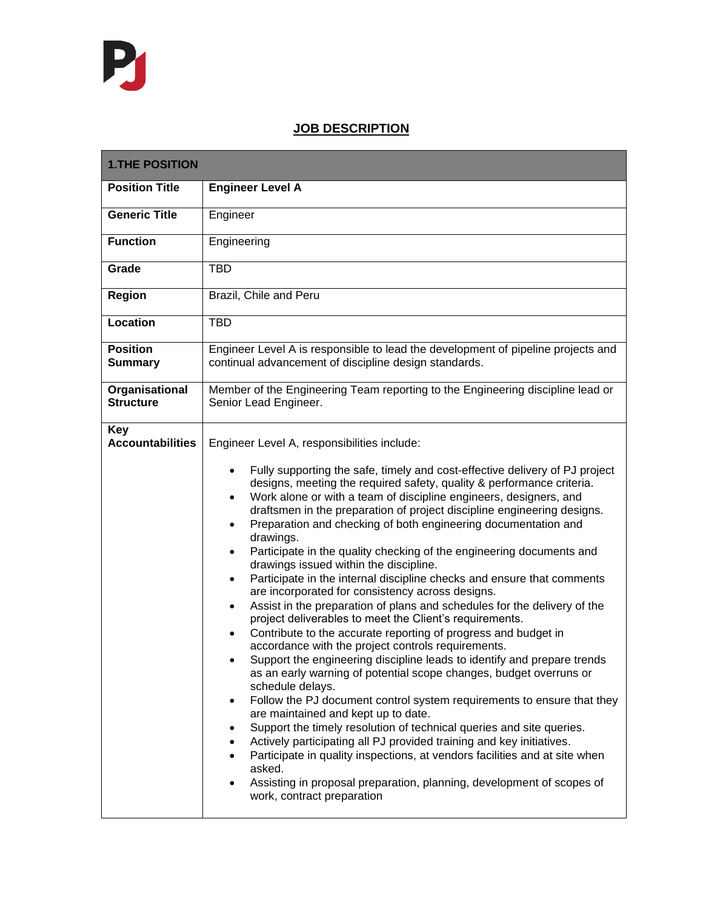## **JOB DESCRIPTION**

| <b>1.THE POSITION</b>                 |                                                                                                                                                                                                                                                                                                                                                                                                                                                                                                                                                                                                                                                                                                                                                                                                                                                                                                                                                                                                                                                                                                                                                                                                                                                                                                                                                                                                                                                                                                                                                                                                                                                                                        |
|---------------------------------------|----------------------------------------------------------------------------------------------------------------------------------------------------------------------------------------------------------------------------------------------------------------------------------------------------------------------------------------------------------------------------------------------------------------------------------------------------------------------------------------------------------------------------------------------------------------------------------------------------------------------------------------------------------------------------------------------------------------------------------------------------------------------------------------------------------------------------------------------------------------------------------------------------------------------------------------------------------------------------------------------------------------------------------------------------------------------------------------------------------------------------------------------------------------------------------------------------------------------------------------------------------------------------------------------------------------------------------------------------------------------------------------------------------------------------------------------------------------------------------------------------------------------------------------------------------------------------------------------------------------------------------------------------------------------------------------|
| <b>Position Title</b>                 | <b>Engineer Level A</b>                                                                                                                                                                                                                                                                                                                                                                                                                                                                                                                                                                                                                                                                                                                                                                                                                                                                                                                                                                                                                                                                                                                                                                                                                                                                                                                                                                                                                                                                                                                                                                                                                                                                |
| <b>Generic Title</b>                  | Engineer                                                                                                                                                                                                                                                                                                                                                                                                                                                                                                                                                                                                                                                                                                                                                                                                                                                                                                                                                                                                                                                                                                                                                                                                                                                                                                                                                                                                                                                                                                                                                                                                                                                                               |
| <b>Function</b>                       | Engineering                                                                                                                                                                                                                                                                                                                                                                                                                                                                                                                                                                                                                                                                                                                                                                                                                                                                                                                                                                                                                                                                                                                                                                                                                                                                                                                                                                                                                                                                                                                                                                                                                                                                            |
| Grade                                 | <b>TBD</b>                                                                                                                                                                                                                                                                                                                                                                                                                                                                                                                                                                                                                                                                                                                                                                                                                                                                                                                                                                                                                                                                                                                                                                                                                                                                                                                                                                                                                                                                                                                                                                                                                                                                             |
| <b>Region</b>                         | Brazil, Chile and Peru                                                                                                                                                                                                                                                                                                                                                                                                                                                                                                                                                                                                                                                                                                                                                                                                                                                                                                                                                                                                                                                                                                                                                                                                                                                                                                                                                                                                                                                                                                                                                                                                                                                                 |
| <b>Location</b>                       | <b>TBD</b>                                                                                                                                                                                                                                                                                                                                                                                                                                                                                                                                                                                                                                                                                                                                                                                                                                                                                                                                                                                                                                                                                                                                                                                                                                                                                                                                                                                                                                                                                                                                                                                                                                                                             |
| <b>Position</b><br><b>Summary</b>     | Engineer Level A is responsible to lead the development of pipeline projects and<br>continual advancement of discipline design standards.                                                                                                                                                                                                                                                                                                                                                                                                                                                                                                                                                                                                                                                                                                                                                                                                                                                                                                                                                                                                                                                                                                                                                                                                                                                                                                                                                                                                                                                                                                                                              |
| Organisational<br><b>Structure</b>    | Member of the Engineering Team reporting to the Engineering discipline lead or<br>Senior Lead Engineer.                                                                                                                                                                                                                                                                                                                                                                                                                                                                                                                                                                                                                                                                                                                                                                                                                                                                                                                                                                                                                                                                                                                                                                                                                                                                                                                                                                                                                                                                                                                                                                                |
| <b>Key</b><br><b>Accountabilities</b> | Engineer Level A, responsibilities include:<br>Fully supporting the safe, timely and cost-effective delivery of PJ project<br>$\bullet$<br>designs, meeting the required safety, quality & performance criteria.<br>Work alone or with a team of discipline engineers, designers, and<br>$\bullet$<br>draftsmen in the preparation of project discipline engineering designs.<br>Preparation and checking of both engineering documentation and<br>٠<br>drawings.<br>Participate in the quality checking of the engineering documents and<br>$\bullet$<br>drawings issued within the discipline.<br>Participate in the internal discipline checks and ensure that comments<br>$\bullet$<br>are incorporated for consistency across designs.<br>Assist in the preparation of plans and schedules for the delivery of the<br>$\bullet$<br>project deliverables to meet the Client's requirements.<br>Contribute to the accurate reporting of progress and budget in<br>$\bullet$<br>accordance with the project controls requirements.<br>Support the engineering discipline leads to identify and prepare trends<br>as an early warning of potential scope changes, budget overruns or<br>schedule delays.<br>Follow the PJ document control system requirements to ensure that they<br>$\bullet$<br>are maintained and kept up to date.<br>Support the timely resolution of technical queries and site queries.<br>Actively participating all PJ provided training and key initiatives.<br>Participate in quality inspections, at vendors facilities and at site when<br>asked.<br>Assisting in proposal preparation, planning, development of scopes of<br>work, contract preparation |